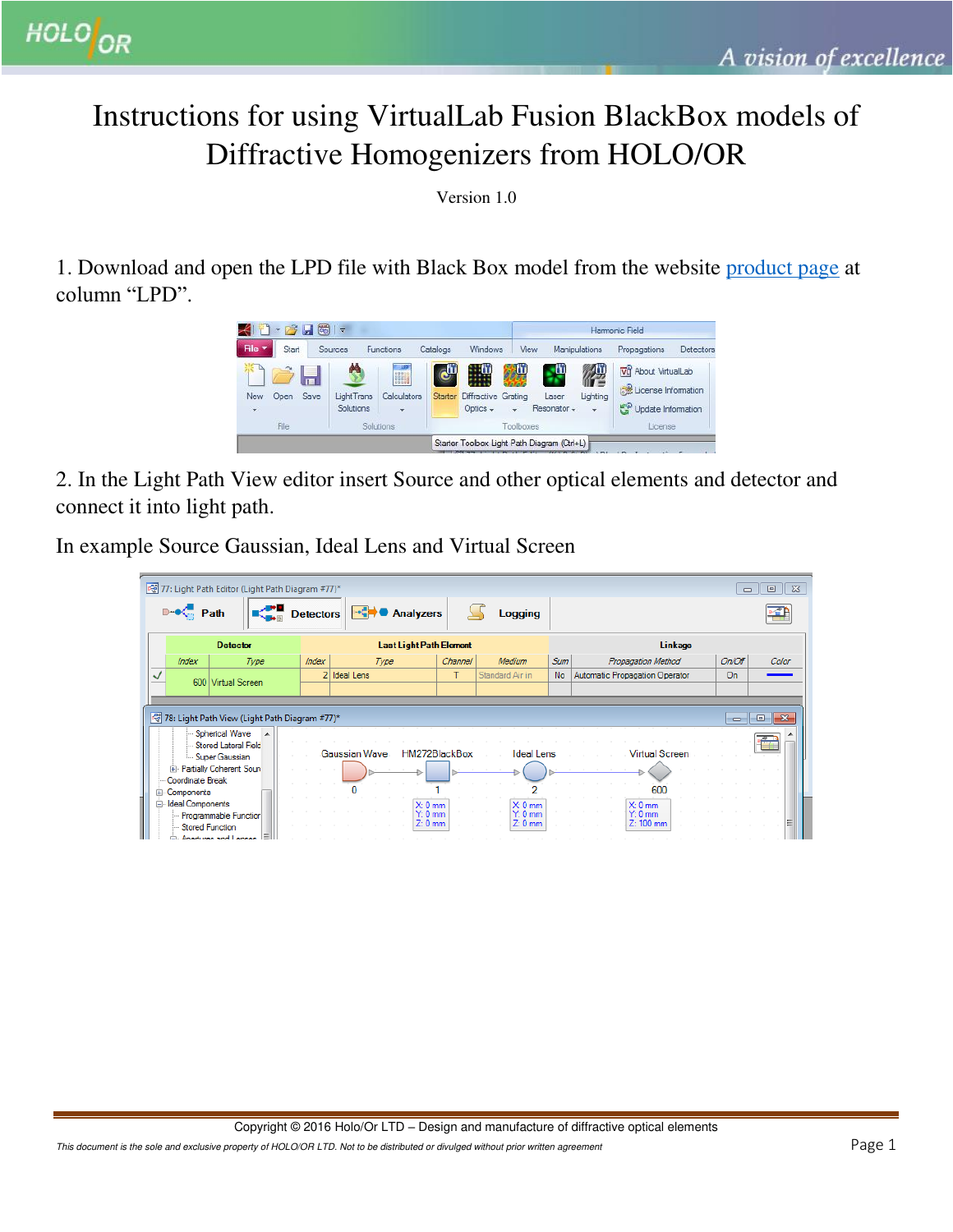## Instructions for using VirtualLab Fusion BlackBox models of Diffractive Homogenizers from HOLO/OR

Version 1.0

1. Download and open the LPD file with Black Box model from the website [product page](http://holoor.co.il/Diffractive_Optics_Products/Diffractive_Beam_Homogenizers/homogenizer-diffuser.php) at column "LPD".



2. In the Light Path View editor insert Source and other optical elements and detector and connect it into light path.

In example Source Gaussian, Ideal Lens and Virtual Screen

| 77: Light Path Editor (Light Path Diagram #77)*<br>$\Sigma$<br>▣<br>$\Box$                                                          |      |                                              |       |                                |                                    |                   |                                    |            |                                             |        |       |  |
|-------------------------------------------------------------------------------------------------------------------------------------|------|----------------------------------------------|-------|--------------------------------|------------------------------------|-------------------|------------------------------------|------------|---------------------------------------------|--------|-------|--|
| $\mathbb{P} \cdot \mathbb{C}$ Path<br><b>Analyzers</b><br><b>Detectors</b><br>Logging                                               |      |                                              |       |                                |                                    |                   |                                    |            |                                             |        |       |  |
| <b>Detector</b>                                                                                                                     |      |                                              |       | <b>Last Light Path Element</b> |                                    |                   |                                    |            | Linkage                                     |        |       |  |
| Index                                                                                                                               | Type |                                              | Index | Type                           |                                    | Channel<br>Medium |                                    | <b>Sum</b> | Propagation Method                          | On/Off | Color |  |
| ✓                                                                                                                                   |      | 600 Virtual Screen                           |       | 2 Ideal Lens                   |                                    | т                 | Standard Air in                    | <b>No</b>  | Automatic Propagation Operator              | On.    |       |  |
|                                                                                                                                     |      |                                              |       |                                |                                    |                   |                                    |            |                                             |        |       |  |
| 78: Light Path View (Light Path Diagram #77)*<br>$-x$<br>$\Box$<br>$\Box$                                                           |      |                                              |       |                                |                                    |                   |                                    |            |                                             |        |       |  |
| Spherical Wave A<br>Stored Lateral Field<br>HM272BlackBox<br>Gaussian Wave<br><b>Ideal Lens</b><br>Virtual Screen<br>Super Gaussian |      |                                              |       |                                |                                    |                   |                                    |            |                                             |        |       |  |
| Fill- Partially Coherent Soun<br>Coordinate Break                                                                                   |      |                                              |       |                                |                                    |                   |                                    |            |                                             |        |       |  |
| E-Components<br><b>Ideal Components</b>                                                                                             |      |                                              |       |                                |                                    |                   |                                    | 600        |                                             |        |       |  |
| Ė.                                                                                                                                  |      | - Programmable Function<br>- Stored Function |       |                                | $X: 0$ mm<br>$Y: 0$ mm<br>$Z:0$ mm |                   | $X: 0$ mm<br>$Y: 0$ mm<br>$Z:0$ mm |            | $X: 0$ mm<br>$Y: 0 \text{ mm}$<br>Z: 100 mm |        |       |  |

This document is the sole and exclusive property of HOLO/OR LTD. Not to be distributed or divulged without prior written agreement  $\mathsf{Page}\ 1$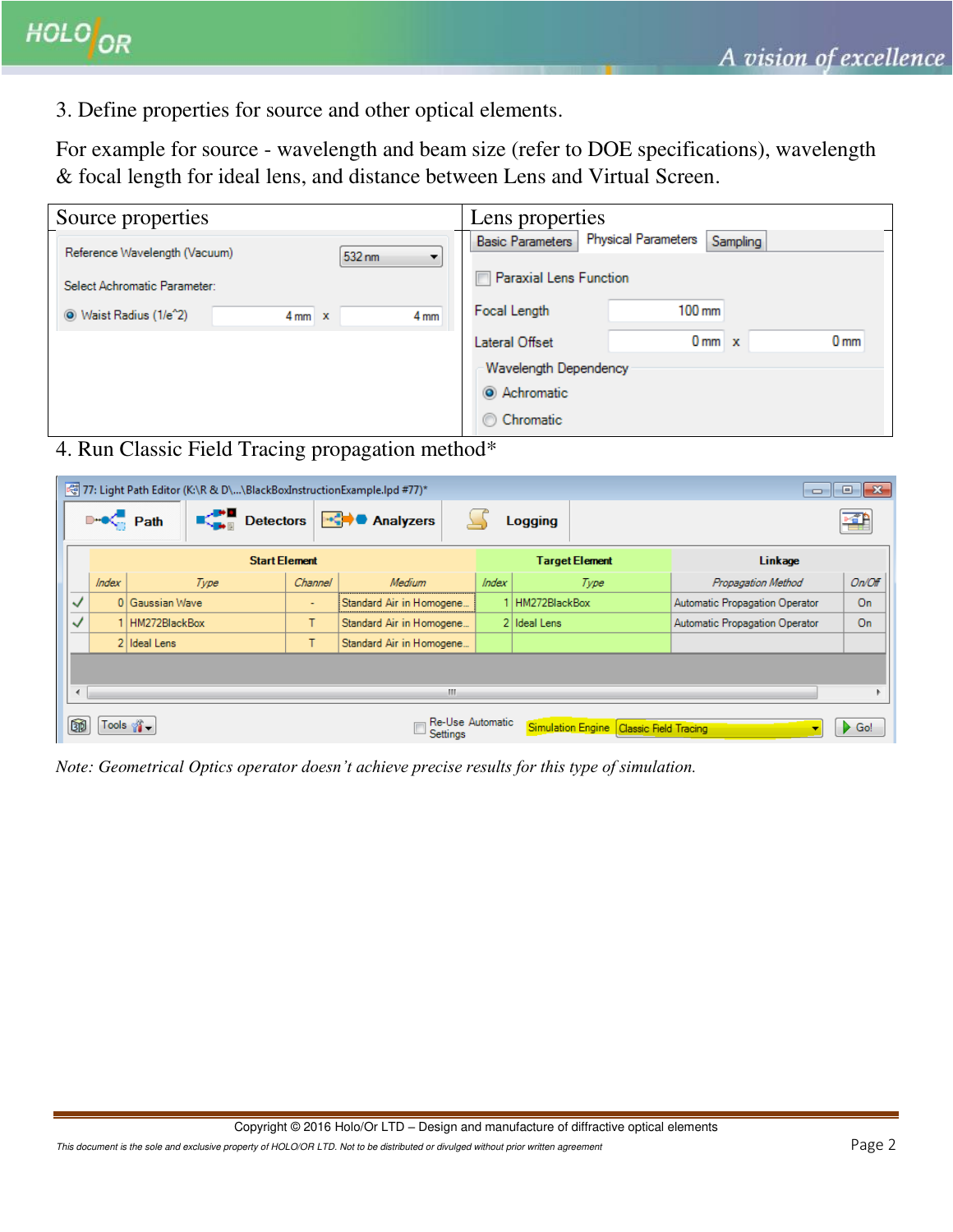3. Define properties for source and other optical elements.

For example for source - wavelength and beam size (refer to DOE specifications), wavelength & focal length for ideal lens, and distance between Lens and Virtual Screen.

| Source properties                            | Lens properties                                                   |  |  |  |  |
|----------------------------------------------|-------------------------------------------------------------------|--|--|--|--|
| Reference Wavelength (Vacuum)                | <b>Physical Parameters</b><br>Sampling<br><b>Basic Parameters</b> |  |  |  |  |
| 532 nm                                       |                                                                   |  |  |  |  |
| Select Achromatic Parameter:                 | <b>Paraxial Lens Function</b>                                     |  |  |  |  |
| Waist Radius (1/e^2)<br>4 mm<br>$4mm \times$ | $100 \text{ mm}$<br>Focal Length                                  |  |  |  |  |
|                                              | 0 <sub>mm</sub><br>$0$ mm $x$<br>Lateral Offset                   |  |  |  |  |
|                                              |                                                                   |  |  |  |  |
|                                              | Wavelength Dependency                                             |  |  |  |  |
|                                              | Achromatic                                                        |  |  |  |  |
|                                              | Chromatic                                                         |  |  |  |  |

4. Run Classic Field Tracing propagation method\*

| 77: Light Path Editor (K:\R & D\\BlackBoxInstructionExample.lpd #77)*<br>$-x$<br>10<br>$\Box$                |          |                                  |         |                          |         |                       |                                |        |  |  |  |
|--------------------------------------------------------------------------------------------------------------|----------|----------------------------------|---------|--------------------------|---------|-----------------------|--------------------------------|--------|--|--|--|
|                                                                                                              |          | $\mathbb{R}^{\bullet}$ Detectors |         | →C Analyzers             | Logging |                       |                                |        |  |  |  |
|                                                                                                              |          | <b>Start Element</b>             |         |                          |         | <b>Target Element</b> | <b>Linkage</b>                 |        |  |  |  |
|                                                                                                              | Index    | Type                             | Channel | Medium                   | Index   | Type                  | Propagation Method             | On/Off |  |  |  |
| $\checkmark$                                                                                                 | $\Omega$ | Gaussian Wave                    | $\sim$  | Standard Air in Homogene |         | HM272BlackBox         | Automatic Propagation Operator | On     |  |  |  |
| ✓                                                                                                            |          | HM272BlackBox                    | T.      | Standard Air in Homogene |         | 2 Ideal Lens          | Automatic Propagation Operator | On     |  |  |  |
|                                                                                                              |          | 2 Ideal Lens                     |         | Standard Air in Homogene |         |                       |                                |        |  |  |  |
|                                                                                                              |          |                                  |         |                          |         |                       |                                |        |  |  |  |
| m.                                                                                                           |          |                                  |         |                          |         |                       |                                |        |  |  |  |
| Re-Use Automatic<br>5<br>Tools $\frac{1}{2}$<br>Simulation Engine   Classic Field Tracing<br>Go!<br>Settings |          |                                  |         |                          |         |                       |                                |        |  |  |  |

*Note: Geometrical Optics operator doesn't achieve precise results for this type of simulation.*